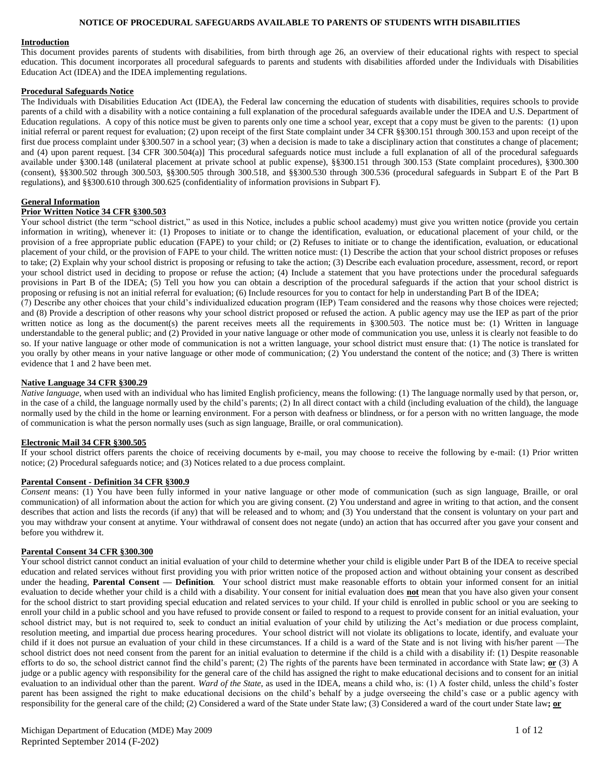### **NOTICE OF PROCEDURAL SAFEGUARDS AVAILABLE TO PARENTS OF STUDENTS WITH DISABILITIES**

### **Introduction**

This document provides parents of students with disabilities, from birth through age 26, an overview of their educational rights with respect to special education. This document incorporates all procedural safeguards to parents and students with disabilities afforded under the Individuals with Disabilities Education Act (IDEA) and the IDEA implementing regulations.

## **Procedural Safeguards Notice**

The Individuals with Disabilities Education Act (IDEA), the Federal law concerning the education of students with disabilities, requires schools to provide parents of a child with a disability with a notice containing a full explanation of the procedural safeguards available under the IDEA and U.S. Department of Education regulations. A copy of this notice must be given to parents only one time a school year, except that a copy must be given to the parents: (1) upon initial referral or parent request for evaluation; (2) upon receipt of the first State complaint under 34 CFR §§300.151 through 300.153 and upon receipt of the first due process complaint under §300.507 in a school year; (3) when a decision is made to take a disciplinary action that constitutes a change of placement; and (4) upon parent request. [34 CFR 300.504(a)] This procedural safeguards notice must include a full explanation of all of the procedural safeguards available under §300.148 (unilateral placement at private school at public expense), §§300.151 through 300.153 (State complaint procedures), §300.300 (consent), §§300.502 through 300.503, §§300.505 through 300.518, and §§300.530 through 300.536 (procedural safeguards in Subpart E of the Part B regulations), and §§300.610 through 300.625 (confidentiality of information provisions in Subpart F).

## **General Information**

## **Prior Written Notice 34 CFR §300.503**

Your school district (the term "school district," as used in this Notice, includes a public school academy) must give you written notice (provide you certain information in writing), whenever it: (1) Proposes to initiate or to change the identification, evaluation, or educational placement of your child, or the provision of a free appropriate public education (FAPE) to your child; or (2) Refuses to initiate or to change the identification, evaluation, or educational placement of your child, or the provision of FAPE to your child. The written notice must: (1) Describe the action that your school district proposes or refuses to take; (2) Explain why your school district is proposing or refusing to take the action; (3) Describe each evaluation procedure, assessment, record, or report your school district used in deciding to propose or refuse the action; (4) Include a statement that you have protections under the procedural safeguards provisions in Part B of the IDEA; (5) Tell you how you can obtain a description of the procedural safeguards if the action that your school district is proposing or refusing is not an initial referral for evaluation; (6) Include resources for you to contact for help in understanding Part B of the IDEA;

(7) Describe any other choices that your child's individualized education program (IEP) Team considered and the reasons why those choices were rejected; and (8) Provide a description of other reasons why your school district proposed or refused the action. A public agency may use the IEP as part of the prior written notice as long as the document(s) the parent receives meets all the requirements in §300.503. The notice must be: (1) Written in language understandable to the general public; and (2) Provided in your native language or other mode of communication you use, unless it is clearly not feasible to do so. If your native language or other mode of communication is not a written language, your school district must ensure that: (1) The notice is translated for you orally by other means in your native language or other mode of communication; (2) You understand the content of the notice; and (3) There is written evidence that 1 and 2 have been met.

## **Native Language 34 CFR §300.29**

*Native language*, when used with an individual who has limited English proficiency, means the following: (1) The language normally used by that person, or, in the case of a child, the language normally used by the child's parents; (2) In all direct contact with a child (including evaluation of the child), the language normally used by the child in the home or learning environment. For a person with deafness or blindness, or for a person with no written language, the mode of communication is what the person normally uses (such as sign language, Braille, or oral communication).

## **Electronic Mail 34 CFR §300.505**

If your school district offers parents the choice of receiving documents by e-mail, you may choose to receive the following by e-mail: (1) Prior written notice; (2) Procedural safeguards notice; and (3) Notices related to a due process complaint.

## **Parental Consent - Definition 34 CFR §300.9**

*Consent* means: (1) You have been fully informed in your native language or other mode of communication (such as sign language, Braille, or oral communication) of all information about the action for which you are giving consent. (2) You understand and agree in writing to that action, and the consent describes that action and lists the records (if any) that will be released and to whom; and (3) You understand that the consent is voluntary on your part and you may withdraw your consent at anytime. Your withdrawal of consent does not negate (undo) an action that has occurred after you gave your consent and before you withdrew it.

## **Parental Consent 34 CFR §300.300**

Your school district cannot conduct an initial evaluation of your child to determine whether your child is eligible under Part B of the IDEA to receive special education and related services without first providing you with prior written notice of the proposed action and without obtaining your consent as described under the heading, **Parental Consent — Definition***.* Your school district must make reasonable efforts to obtain your informed consent for an initial evaluation to decide whether your child is a child with a disability. Your consent for initial evaluation does **not** mean that you have also given your consent for the school district to start providing special education and related services to your child. If your child is enrolled in public school or you are seeking to enroll your child in a public school and you have refused to provide consent or failed to respond to a request to provide consent for an initial evaluation, your school district may, but is not required to, seek to conduct an initial evaluation of your child by utilizing the Act's mediation or due process complaint, resolution meeting, and impartial due process hearing procedures. Your school district will not violate its obligations to locate, identify, and evaluate your child if it does not pursue an evaluation of your child in these circumstances. If a child is a ward of the State and is not living with his/her parent —The school district does not need consent from the parent for an initial evaluation to determine if the child is a child with a disability if: (1) Despite reasonable efforts to do so, the school district cannot find the child's parent; (2) The rights of the parents have been terminated in accordance with State law; **or** (3) A judge or a public agency with responsibility for the general care of the child has assigned the right to make educational decisions and to consent for an initial evaluation to an individual other than the parent. *Ward of the State*, as used in the IDEA, means a child who, is: (1) A foster child, unless the child's foster parent has been assigned the right to make educational decisions on the child's behalf by a judge overseeing the child's case or a public agency with responsibility for the general care of the child; (2) Considered a ward of the State under State law; (3) Considered a ward of the court under State law**; or**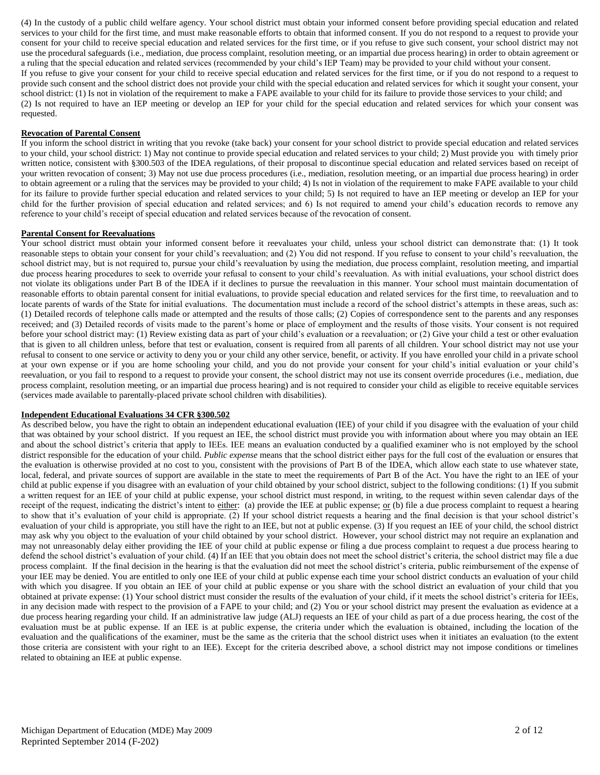(4) In the custody of a public child welfare agency. Your school district must obtain your informed consent before providing special education and related services to your child for the first time, and must make reasonable efforts to obtain that informed consent. If you do not respond to a request to provide your consent for your child to receive special education and related services for the first time, or if you refuse to give such consent, your school district may not use the procedural safeguards (i.e., mediation, due process complaint, resolution meeting, or an impartial due process hearing) in order to obtain agreement or a ruling that the special education and related services (recommended by your child's IEP Team) may be provided to your child without your consent. If you refuse to give your consent for your child to receive special education and related services for the first time, or if you do not respond to a request to provide such consent and the school district does not provide your child with the special education and related services for which it sought your consent, your school district: (1) Is not in violation of the requirement to make a FAPE available to your child for its failure to provide those services to your child; and (2) Is not required to have an IEP meeting or develop an IEP for your child for the special education and related services for which your consent was requested.

## **Revocation of Parental Consent**

If you inform the school district in writing that you revoke (take back) your consent for your school district to provide special education and related services to your child, your school district: 1) May not continue to provide special education and related services to your child; 2) Must provide you with timely prior written notice, consistent with §300.503 of the IDEA regulations, of their proposal to discontinue special education and related services based on receipt of your written revocation of consent; 3) May not use due process procedures (i.e., mediation, resolution meeting, or an impartial due process hearing) in order to obtain agreement or a ruling that the services may be provided to your child; 4) Is not in violation of the requirement to make FAPE available to your child for its failure to provide further special education and related services to your child; 5) Is not required to have an IEP meeting or develop an IEP for your child for the further provision of special education and related services; and 6) Is not required to amend your child's education records to remove any reference to your child's receipt of special education and related services because of the revocation of consent.

#### **Parental Consent for Reevaluations**

Your school district must obtain your informed consent before it reevaluates your child, unless your school district can demonstrate that: (1) It took reasonable steps to obtain your consent for your child's reevaluation; and (2) You did not respond. If you refuse to consent to your child's reevaluation, the school district may, but is not required to, pursue your child's reevaluation by using the mediation, due process complaint, resolution meeting, and impartial due process hearing procedures to seek to override your refusal to consent to your child's reevaluation. As with initial evaluations, your school district does not violate its obligations under Part B of the IDEA if it declines to pursue the reevaluation in this manner. Your school must maintain documentation of reasonable efforts to obtain parental consent for initial evaluations, to provide special education and related services for the first time, to reevaluation and to locate parents of wards of the State for initial evaluations. The documentation must include a record of the school district's attempts in these areas, such as: (1) Detailed records of telephone calls made or attempted and the results of those calls; (2) Copies of correspondence sent to the parents and any responses received; and (3) Detailed records of visits made to the parent's home or place of employment and the results of those visits. Your consent is not required before your school district may: (1) Review existing data as part of your child's evaluation or a reevaluation; or (2) Give your child a test or other evaluation that is given to all children unless, before that test or evaluation, consent is required from all parents of all children. Your school district may not use your refusal to consent to one service or activity to deny you or your child any other service, benefit, or activity. If you have enrolled your child in a private school at your own expense or if you are home schooling your child, and you do not provide your consent for your child's initial evaluation or your child's reevaluation, or you fail to respond to a request to provide your consent, the school district may not use its consent override procedures (i.e., mediation, due process complaint, resolution meeting, or an impartial due process hearing) and is not required to consider your child as eligible to receive equitable services (services made available to parentally-placed private school children with disabilities).

## **Independent Educational Evaluations 34 CFR §300.502**

As described below, you have the right to obtain an independent educational evaluation (IEE) of your child if you disagree with the evaluation of your child that was obtained by your school district. If you request an IEE, the school district must provide you with information about where you may obtain an IEE and about the school district's criteria that apply to IEEs. IEE means an evaluation conducted by a qualified examiner who is not employed by the school district responsible for the education of your child. *Public expense* means that the school district either pays for the full cost of the evaluation or ensures that the evaluation is otherwise provided at no cost to you, consistent with the provisions of Part B of the IDEA, which allow each state to use whatever state, local, federal, and private sources of support are available in the state to meet the requirements of Part B of the Act. You have the right to an IEE of your child at public expense if you disagree with an evaluation of your child obtained by your school district, subject to the following conditions: (1) If you submit a written request for an IEE of your child at public expense, your school district must respond, in writing, to the request within seven calendar days of the receipt of the request, indicating the district's intent to  $\frac{e^{i\theta}}{e^{i\theta}}$ . (a) provide the IEE at public expense; or (b) file a due process complaint to request a hearing to show that it's evaluation of your child is appropriate. (2) If your school district requests a hearing and the final decision is that your school district's evaluation of your child is appropriate, you still have the right to an IEE, but not at public expense. (3) If you request an IEE of your child, the school district may ask why you object to the evaluation of your child obtained by your school district. However, your school district may not require an explanation and may not unreasonably delay either providing the IEE of your child at public expense or filing a due process complaint to request a due process hearing to defend the school district's evaluation of your child. (4) If an IEE that you obtain does not meet the school district's criteria, the school district may file a due process complaint. If the final decision in the hearing is that the evaluation did not meet the school district's criteria, public reimbursement of the expense of your IEE may be denied. You are entitled to only one IEE of your child at public expense each time your school district conducts an evaluation of your child with which you disagree. If you obtain an IEE of your child at public expense or you share with the school district an evaluation of your child that you obtained at private expense: (1) Your school district must consider the results of the evaluation of your child, if it meets the school district's criteria for IEEs, in any decision made with respect to the provision of a FAPE to your child; and (2) You or your school district may present the evaluation as evidence at a due process hearing regarding your child. If an administrative law judge (ALJ) requests an IEE of your child as part of a due process hearing, the cost of the evaluation must be at public expense. If an IEE is at public expense, the criteria under which the evaluation is obtained, including the location of the evaluation and the qualifications of the examiner, must be the same as the criteria that the school district uses when it initiates an evaluation (to the extent those criteria are consistent with your right to an IEE). Except for the criteria described above, a school district may not impose conditions or timelines related to obtaining an IEE at public expense.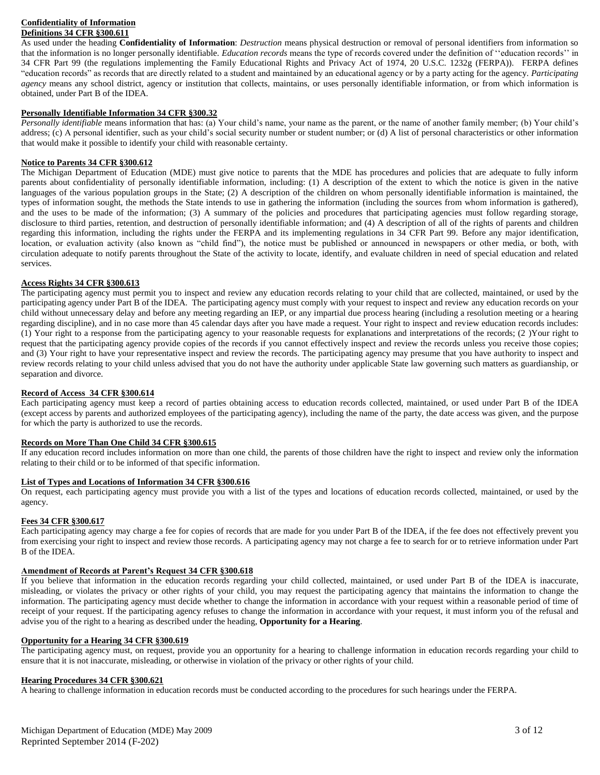## **Confidentiality of Information Definitions 34 CFR §300.611**

As used under the heading **Confidentiality of Information**: *Destruction* means physical destruction or removal of personal identifiers from information so that the information is no longer personally identifiable. *Education records* means the type of records covered under the definition of ''education records'' in 34 CFR Part 99 (the regulations implementing the Family Educational Rights and Privacy Act of 1974, 20 U.S.C. 1232g (FERPA)). FERPA defines "education records" as records that are directly related to a student and maintained by an educational agency or by a party acting for the agency. *Participating agency* means any school district, agency or institution that collects, maintains, or uses personally identifiable information, or from which information is obtained, under Part B of the IDEA.

## **Personally Identifiable Information 34 CFR §300.32**

*Personally identifiable* means information that has: (a) Your child's name, your name as the parent, or the name of another family member; (b) Your child's address; (c) A personal identifier, such as your child's social security number or student number; or (d) A list of personal characteristics or other information that would make it possible to identify your child with reasonable certainty.

## **Notice to Parents 34 CFR §300.612**

The Michigan Department of Education (MDE) must give notice to parents that the MDE has procedures and policies that are adequate to fully inform parents about confidentiality of personally identifiable information, including: (1) A description of the extent to which the notice is given in the native languages of the various population groups in the State; (2) A description of the children on whom personally identifiable information is maintained, the types of information sought, the methods the State intends to use in gathering the information (including the sources from whom information is gathered), and the uses to be made of the information; (3) A summary of the policies and procedures that participating agencies must follow regarding storage, disclosure to third parties, retention, and destruction of personally identifiable information; and (4) A description of all of the rights of parents and children regarding this information, including the rights under the FERPA and its implementing regulations in 34 CFR Part 99. Before any major identification, location, or evaluation activity (also known as "child find"), the notice must be published or announced in newspapers or other media, or both, with circulation adequate to notify parents throughout the State of the activity to locate, identify, and evaluate children in need of special education and related services.

### **Access Rights 34 CFR §300.613**

The participating agency must permit you to inspect and review any education records relating to your child that are collected, maintained, or used by the participating agency under Part B of the IDEA. The participating agency must comply with your request to inspect and review any education records on your child without unnecessary delay and before any meeting regarding an IEP, or any impartial due process hearing (including a resolution meeting or a hearing regarding discipline), and in no case more than 45 calendar days after you have made a request. Your right to inspect and review education records includes: (1) Your right to a response from the participating agency to your reasonable requests for explanations and interpretations of the records; (2 )Your right to request that the participating agency provide copies of the records if you cannot effectively inspect and review the records unless you receive those copies; and (3) Your right to have your representative inspect and review the records. The participating agency may presume that you have authority to inspect and review records relating to your child unless advised that you do not have the authority under applicable State law governing such matters as guardianship, or separation and divorce.

## **Record of Access 34 CFR §300.614**

Each participating agency must keep a record of parties obtaining access to education records collected, maintained, or used under Part B of the IDEA (except access by parents and authorized employees of the participating agency), including the name of the party, the date access was given, and the purpose for which the party is authorized to use the records.

### **Records on More Than One Child 34 CFR §300.615**

If any education record includes information on more than one child, the parents of those children have the right to inspect and review only the information relating to their child or to be informed of that specific information.

## **List of Types and Locations of Information 34 CFR §300.616**

On request, each participating agency must provide you with a list of the types and locations of education records collected, maintained, or used by the agency.

## **Fees 34 CFR §300.617**

Each participating agency may charge a fee for copies of records that are made for you under Part B of the IDEA, if the fee does not effectively prevent you from exercising your right to inspect and review those records. A participating agency may not charge a fee to search for or to retrieve information under Part B of the IDEA.

## **Amendment of Records at Parent's Request 34 CFR §300.618**

If you believe that information in the education records regarding your child collected, maintained, or used under Part B of the IDEA is inaccurate, misleading, or violates the privacy or other rights of your child, you may request the participating agency that maintains the information to change the information. The participating agency must decide whether to change the information in accordance with your request within a reasonable period of time of receipt of your request. If the participating agency refuses to change the information in accordance with your request, it must inform you of the refusal and advise you of the right to a hearing as described under the heading, **Opportunity for a Hearing**.

# **Opportunity for a Hearing 34 CFR §300.619**

The participating agency must, on request, provide you an opportunity for a hearing to challenge information in education records regarding your child to ensure that it is not inaccurate, misleading, or otherwise in violation of the privacy or other rights of your child.

## **Hearing Procedures 34 CFR §300.621**

A hearing to challenge information in education records must be conducted according to the procedures for such hearings under the FERPA.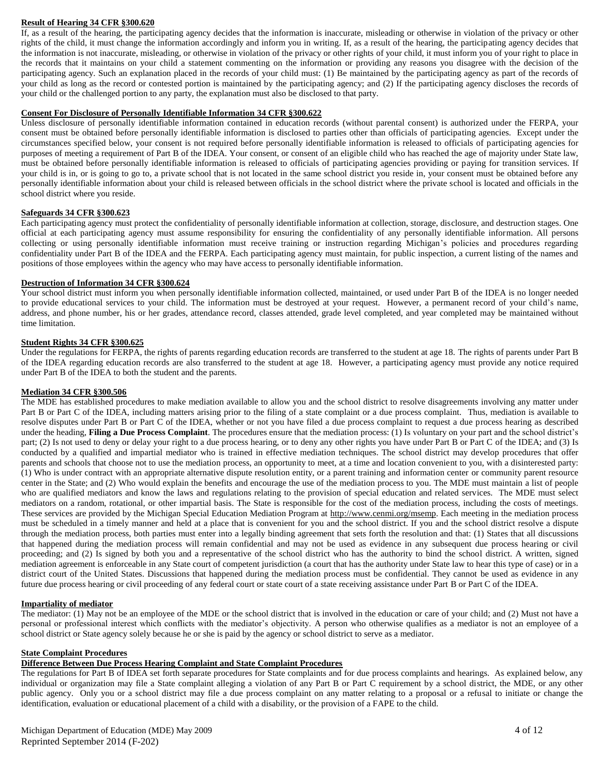## **Result of Hearing 34 CFR §300.620**

If, as a result of the hearing, the participating agency decides that the information is inaccurate, misleading or otherwise in violation of the privacy or other rights of the child, it must change the information accordingly and inform you in writing. If, as a result of the hearing, the participating agency decides that the information is not inaccurate, misleading, or otherwise in violation of the privacy or other rights of your child, it must inform you of your right to place in the records that it maintains on your child a statement commenting on the information or providing any reasons you disagree with the decision of the participating agency. Such an explanation placed in the records of your child must: (1) Be maintained by the participating agency as part of the records of your child as long as the record or contested portion is maintained by the participating agency; and (2) If the participating agency discloses the records of your child or the challenged portion to any party, the explanation must also be disclosed to that party.

## **Consent For Disclosure of Personally Identifiable Information 34 CFR §300.622**

Unless disclosure of personally identifiable information contained in education records (without parental consent) is authorized under the FERPA, your consent must be obtained before personally identifiable information is disclosed to parties other than officials of participating agencies. Except under the circumstances specified below, your consent is not required before personally identifiable information is released to officials of participating agencies for purposes of meeting a requirement of Part B of the IDEA. Your consent, or consent of an eligible child who has reached the age of majority under State law, must be obtained before personally identifiable information is released to officials of participating agencies providing or paying for transition services. If your child is in, or is going to go to, a private school that is not located in the same school district you reside in, your consent must be obtained before any personally identifiable information about your child is released between officials in the school district where the private school is located and officials in the school district where you reside.

## **Safeguards 34 CFR §300.623**

Each participating agency must protect the confidentiality of personally identifiable information at collection, storage, disclosure, and destruction stages. One official at each participating agency must assume responsibility for ensuring the confidentiality of any personally identifiable information. All persons collecting or using personally identifiable information must receive training or instruction regarding Michigan's policies and procedures regarding confidentiality under Part B of the IDEA and the FERPA. Each participating agency must maintain, for public inspection, a current listing of the names and positions of those employees within the agency who may have access to personally identifiable information.

#### **Destruction of Information 34 CFR §300.624**

Your school district must inform you when personally identifiable information collected, maintained, or used under Part B of the IDEA is no longer needed to provide educational services to your child. The information must be destroyed at your request. However, a permanent record of your child's name, address, and phone number, his or her grades, attendance record, classes attended, grade level completed, and year completed may be maintained without time limitation.

### **Student Rights 34 CFR §300.625**

Under the regulations for FERPA, the rights of parents regarding education records are transferred to the student at age 18. The rights of parents under Part B of the IDEA regarding education records are also transferred to the student at age 18. However, a participating agency must provide any notice required under Part B of the IDEA to both the student and the parents.

### **Mediation 34 CFR §300.506**

The MDE has established procedures to make mediation available to allow you and the school district to resolve disagreements involving any matter under Part B or Part C of the IDEA, including matters arising prior to the filing of a state complaint or a due process complaint. Thus, mediation is available to resolve disputes under Part B or Part C of the IDEA, whether or not you have filed a due process complaint to request a due process hearing as described under the heading, **Filing a Due Process Complaint**. The procedures ensure that the mediation process: (1) Is voluntary on your part and the school district's part; (2) Is not used to deny or delay your right to a due process hearing, or to deny any other rights you have under Part B or Part C of the IDEA; and (3) Is conducted by a qualified and impartial mediator who is trained in effective mediation techniques. The school district may develop procedures that offer parents and schools that choose not to use the mediation process, an opportunity to meet, at a time and location convenient to you, with a disinterested party: (1) Who is under contract with an appropriate alternative dispute resolution entity, or a parent training and information center or community parent resource center in the State; and (2) Who would explain the benefits and encourage the use of the mediation process to you. The MDE must maintain a list of people who are qualified mediators and know the laws and regulations relating to the provision of special education and related services. The MDE must select mediators on a random, rotational, or other impartial basis. The State is responsible for the cost of the mediation process, including the costs of meetings. These services are provided by the Michigan Special Education Mediation Program at [http://www.cenmi.org/msemp.](http://www.cenmi.org/msemp) Each meeting in the mediation process must be scheduled in a timely manner and held at a place that is convenient for you and the school district. If you and the school district resolve a dispute through the mediation process, both parties must enter into a legally binding agreement that sets forth the resolution and that: (1) States that all discussions that happened during the mediation process will remain confidential and may not be used as evidence in any subsequent due process hearing or civil proceeding; and (2) Is signed by both you and a representative of the school district who has the authority to bind the school district. A written, signed mediation agreement is enforceable in any State court of competent jurisdiction (a court that has the authority under State law to hear this type of case) or in a district court of the United States. Discussions that happened during the mediation process must be confidential. They cannot be used as evidence in any future due process hearing or civil proceeding of any federal court or state court of a state receiving assistance under Part B or Part C of the IDEA.

#### **Impartiality of mediator**

The mediator: (1) May not be an employee of the MDE or the school district that is involved in the education or care of your child; and (2) Must not have a personal or professional interest which conflicts with the mediator's objectivity. A person who otherwise qualifies as a mediator is not an employee of a school district or State agency solely because he or she is paid by the agency or school district to serve as a mediator.

## **State Complaint Procedures**

## **Difference Between Due Process Hearing Complaint and State Complaint Procedures**

The regulations for Part B of IDEA set forth separate procedures for State complaints and for due process complaints and hearings. As explained below, any individual or organization may file a State complaint alleging a violation of any Part B or Part C requirement by a school district, the MDE, or any other public agency. Only you or a school district may file a due process complaint on any matter relating to a proposal or a refusal to initiate or change the identification, evaluation or educational placement of a child with a disability, or the provision of a FAPE to the child.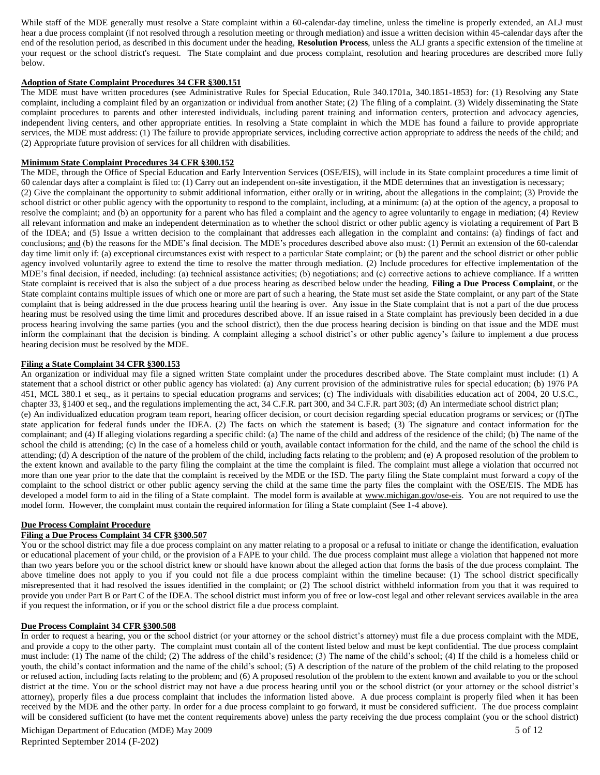While staff of the MDE generally must resolve a State complaint within a 60-calendar-day timeline, unless the timeline is properly extended, an ALJ must hear a due process complaint (if not resolved through a resolution meeting or through mediation) and issue a written decision within 45-calendar days after the end of the resolution period, as described in this document under the heading, **Resolution Process**, unless the ALJ grants a specific extension of the timeline at your request or the school district's request. The State complaint and due process complaint, resolution and hearing procedures are described more fully below.

## **Adoption of State Complaint Procedures 34 CFR §300.151**

The MDE must have written procedures (see Administrative Rules for Special Education, Rule 340.1701a, 340.1851-1853) for: (1) Resolving any State complaint, including a complaint filed by an organization or individual from another State; (2) The filing of a complaint. (3) Widely disseminating the State complaint procedures to parents and other interested individuals, including parent training and information centers, protection and advocacy agencies, independent living centers, and other appropriate entities. In resolving a State complaint in which the MDE has found a failure to provide appropriate services, the MDE must address: (1) The failure to provide appropriate services, including corrective action appropriate to address the needs of the child; and (2) Appropriate future provision of services for all children with disabilities.

## **Minimum State Complaint Procedures 34 CFR §300.152**

The MDE, through the Office of Special Education and Early Intervention Services (OSE/EIS), will include in its State complaint procedures a time limit of 60 calendar days after a complaint is filed to: (1) Carry out an independent on-site investigation, if the MDE determines that an investigation is necessary; (2) Give the complainant the opportunity to submit additional information, either orally or in writing, about the allegations in the complaint; (3) Provide the school district or other public agency with the opportunity to respond to the complaint, including, at a minimum: (a) at the option of the agency, a proposal to resolve the complaint; and (b) an opportunity for a parent who has filed a complaint and the agency to agree voluntarily to engage in mediation; (4) Review all relevant information and make an independent determination as to whether the school district or other public agency is violating a requirement of Part B of the IDEA; and (5) Issue a written decision to the complainant that addresses each allegation in the complaint and contains: (a) findings of fact and conclusions; and (b) the reasons for the MDE's final decision. The MDE's procedures described above also must: (1) Permit an extension of the 60-calendar day time limit only if: (a) exceptional circumstances exist with respect to a particular State complaint; or (b) the parent and the school district or other public agency involved voluntarily agree to extend the time to resolve the matter through mediation. (2) Include procedures for effective implementation of the MDE's final decision, if needed, including: (a) technical assistance activities; (b) negotiations; and (c) corrective actions to achieve compliance. If a written State complaint is received that is also the subject of a due process hearing as described below under the heading, **Filing a Due Process Complaint**, or the State complaint contains multiple issues of which one or more are part of such a hearing, the State must set aside the State complaint, or any part of the State complaint that is being addressed in the due process hearing until the hearing is over. Any issue in the State complaint that is not a part of the due process hearing must be resolved using the time limit and procedures described above. If an issue raised in a State complaint has previously been decided in a due process hearing involving the same parties (you and the school district), then the due process hearing decision is binding on that issue and the MDE must inform the complainant that the decision is binding. A complaint alleging a school district's or other public agency's failure to implement a due process hearing decision must be resolved by the MDE.

#### **Filing a State Complaint 34 CFR §300.153**

An organization or individual may file a signed written State complaint under the procedures described above. The State complaint must include: (1) A statement that a school district or other public agency has violated: (a) Any current provision of the administrative rules for special education; (b) 1976 PA 451, MCL 380.1 et seq., as it pertains to special education programs and services; (c) The individuals with disabilities education act of 2004, 20 U.S.C., chapter 33, §1400 et seq., and the regulations implementing the act, 34 C.F.R. part 300, and 34 C.F.R. part 303; (d) An intermediate school district plan; (e) An individualized education program team report, hearing officer decision, or court decision regarding special education programs or services; or (f)The state application for federal funds under the IDEA. (2) The facts on which the statement is based; (3) The signature and contact information for the complainant; and (4) If alleging violations regarding a specific child: (a) The name of the child and address of the residence of the child; (b) The name of the school the child is attending; (c) In the case of a homeless child or youth, available contact information for the child, and the name of the school the child is attending; (d) A description of the nature of the problem of the child, including facts relating to the problem; and (e) A proposed resolution of the problem to the extent known and available to the party filing the complaint at the time the complaint is filed. The complaint must allege a violation that occurred not more than one year prior to the date that the complaint is received by the MDE or the ISD. The party filing the State complaint must forward a copy of the complaint to the school district or other public agency serving the child at the same time the party files the complaint with the OSE/EIS. The MDE has developed a model form to aid in the filing of a State complaint. The model form is available at [www.michigan.gov/ose-eis.](http://www.michigan.gov/ose-eis) You are not required to use the model form. However, the complaint must contain the required information for filing a State complaint (See 1-4 above).

#### **Due Process Complaint Procedure**

### **Filing a Due Process Complaint 34 CFR §300.507**

You or the school district may file a due process complaint on any matter relating to a proposal or a refusal to initiate or change the identification, evaluation or educational placement of your child, or the provision of a FAPE to your child. The due process complaint must allege a violation that happened not more than two years before you or the school district knew or should have known about the alleged action that forms the basis of the due process complaint. The above timeline does not apply to you if you could not file a due process complaint within the timeline because: (1) The school district specifically misrepresented that it had resolved the issues identified in the complaint; or (2) The school district withheld information from you that it was required to provide you under Part B or Part C of the IDEA. The school district must inform you of free or low-cost legal and other relevant services available in the area if you request the information, or if you or the school district file a due process complaint.

## **Due Process Complaint 34 CFR §300.508**

In order to request a hearing, you or the school district (or your attorney or the school district's attorney) must file a due process complaint with the MDE, and provide a copy to the other party. The complaint must contain all of the content listed below and must be kept confidential. The due process complaint must include: (1) The name of the child; (2) The address of the child's residence; (3) The name of the child's school; (4) If the child is a homeless child or youth, the child's contact information and the name of the child's school; (5) A description of the nature of the problem of the child relating to the proposed or refused action, including facts relating to the problem; and (6) A proposed resolution of the problem to the extent known and available to you or the school district at the time. You or the school district may not have a due process hearing until you or the school district (or your attorney or the school district's attorney), properly files a due process complaint that includes the information listed above. A due process complaint is properly filed when it has been received by the MDE and the other party. In order for a due process complaint to go forward, it must be considered sufficient. The due process complaint will be considered sufficient (to have met the content requirements above) unless the party receiving the due process complaint (you or the school district)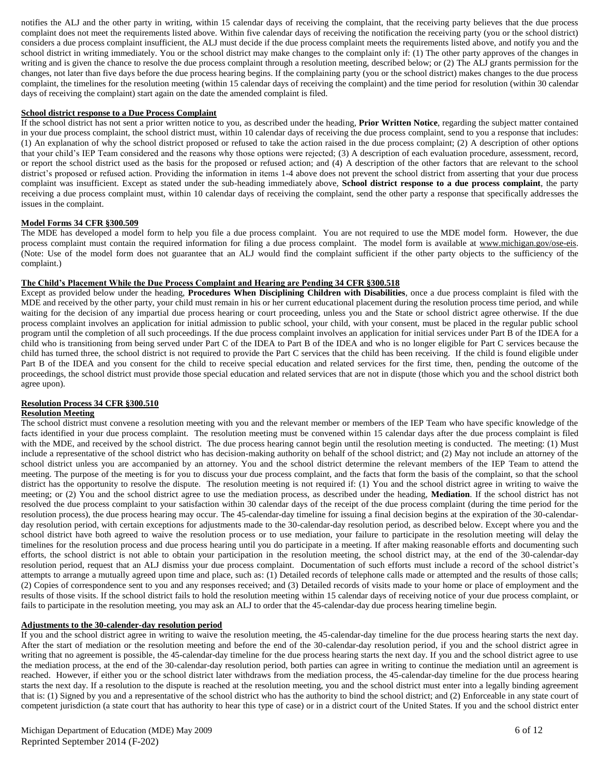notifies the ALJ and the other party in writing, within 15 calendar days of receiving the complaint, that the receiving party believes that the due process complaint does not meet the requirements listed above. Within five calendar days of receiving the notification the receiving party (you or the school district) considers a due process complaint insufficient, the ALJ must decide if the due process complaint meets the requirements listed above, and notify you and the school district in writing immediately. You or the school district may make changes to the complaint only if: (1) The other party approves of the changes in writing and is given the chance to resolve the due process complaint through a resolution meeting, described below; or (2) The ALJ grants permission for the changes, not later than five days before the due process hearing begins. If the complaining party (you or the school district) makes changes to the due process complaint, the timelines for the resolution meeting (within 15 calendar days of receiving the complaint) and the time period for resolution (within 30 calendar days of receiving the complaint) start again on the date the amended complaint is filed.

## **School district response to a Due Process Complaint**

If the school district has not sent a prior written notice to you, as described under the heading, **Prior Written Notice**, regarding the subject matter contained in your due process complaint, the school district must, within 10 calendar days of receiving the due process complaint, send to you a response that includes: (1) An explanation of why the school district proposed or refused to take the action raised in the due process complaint; (2) A description of other options that your child's IEP Team considered and the reasons why those options were rejected; (3) A description of each evaluation procedure, assessment, record, or report the school district used as the basis for the proposed or refused action; and (4) A description of the other factors that are relevant to the school district's proposed or refused action. Providing the information in items 1-4 above does not prevent the school district from asserting that your due process complaint was insufficient. Except as stated under the sub-heading immediately above, **School district response to a due process complaint**, the party receiving a due process complaint must, within 10 calendar days of receiving the complaint, send the other party a response that specifically addresses the issues in the complaint.

## **Model Forms 34 CFR §300.509**

The MDE has developed a model form to help you file a due process complaint. You are not required to use the MDE model form. However, the due process complaint must contain the required information for filing a due process complaint*.* The model form is available at [www.michigan.gov/ose-eis.](http://www.michigan.gov/ose-eis) (Note: Use of the model form does not guarantee that an ALJ would find the complaint sufficient if the other party objects to the sufficiency of the complaint.)

#### **The Child's Placement While the Due Process Complaint and Hearing are Pending 34 CFR §300.518**

Except as provided below under the heading, **Procedures When Disciplining Children with Disabilities**, once a due process complaint is filed with the MDE and received by the other party, your child must remain in his or her current educational placement during the resolution process time period, and while waiting for the decision of any impartial due process hearing or court proceeding, unless you and the State or school district agree otherwise. If the due process complaint involves an application for initial admission to public school, your child, with your consent, must be placed in the regular public school program until the completion of all such proceedings. If the due process complaint involves an application for initial services under Part B of the IDEA for a child who is transitioning from being served under Part C of the IDEA to Part B of the IDEA and who is no longer eligible for Part C services because the child has turned three, the school district is not required to provide the Part C services that the child has been receiving. If the child is found eligible under Part B of the IDEA and you consent for the child to receive special education and related services for the first time, then, pending the outcome of the proceedings, the school district must provide those special education and related services that are not in dispute (those which you and the school district both agree upon).

# **Resolution Process 34 CFR §300.510**

## **Resolution Meeting**

The school district must convene a resolution meeting with you and the relevant member or members of the IEP Team who have specific knowledge of the facts identified in your due process complaint. The resolution meeting must be convened within 15 calendar days after the due process complaint is filed with the MDE, and received by the school district. The due process hearing cannot begin until the resolution meeting is conducted. The meeting: (1) Must include a representative of the school district who has decision-making authority on behalf of the school district; and (2) May not include an attorney of the school district unless you are accompanied by an attorney. You and the school district determine the relevant members of the IEP Team to attend the meeting. The purpose of the meeting is for you to discuss your due process complaint, and the facts that form the basis of the complaint, so that the school district has the opportunity to resolve the dispute. The resolution meeting is not required if: (1) You and the school district agree in writing to waive the meeting; or (2) You and the school district agree to use the mediation process, as described under the heading, **Mediation**. If the school district has not resolved the due process complaint to your satisfaction within 30 calendar days of the receipt of the due process complaint (during the time period for the resolution process), the due process hearing may occur. The 45-calendar-day timeline for issuing a final decision begins at the expiration of the 30-calendarday resolution period, with certain exceptions for adjustments made to the 30-calendar-day resolution period, as described below. Except where you and the school district have both agreed to waive the resolution process or to use mediation, your failure to participate in the resolution meeting will delay the timelines for the resolution process and due process hearing until you do participate in a meeting. If after making reasonable efforts and documenting such efforts, the school district is not able to obtain your participation in the resolution meeting, the school district may, at the end of the 30-calendar-day resolution period, request that an ALJ dismiss your due process complaint. Documentation of such efforts must include a record of the school district's attempts to arrange a mutually agreed upon time and place, such as: (1) Detailed records of telephone calls made or attempted and the results of those calls; (2) Copies of correspondence sent to you and any responses received; and (3) Detailed records of visits made to your home or place of employment and the results of those visits. If the school district fails to hold the resolution meeting within 15 calendar days of receiving notice of your due process complaint, or fails to participate in the resolution meeting, you may ask an ALJ to order that the 45-calendar-day due process hearing timeline begin.

## **Adjustments to the 30-calender-day resolution period**

If you and the school district agree in writing to waive the resolution meeting, the 45-calendar-day timeline for the due process hearing starts the next day. After the start of mediation or the resolution meeting and before the end of the 30-calendar-day resolution period, if you and the school district agree in writing that no agreement is possible*,* the 45-calendar-day timeline for the due process hearing starts the next day. If you and the school district agree to use the mediation process, at the end of the 30-calendar-day resolution period, both parties can agree in writing to continue the mediation until an agreement is reached. However, if either you or the school district later withdraws from the mediation process, the 45-calendar-day timeline for the due process hearing starts the next day. If a resolution to the dispute is reached at the resolution meeting, you and the school district must enter into a legally binding agreement that is: (1) Signed by you and a representative of the school district who has the authority to bind the school district; and (2) Enforceable in any state court of competent jurisdiction (a state court that has authority to hear this type of case) or in a district court of the United States. If you and the school district enter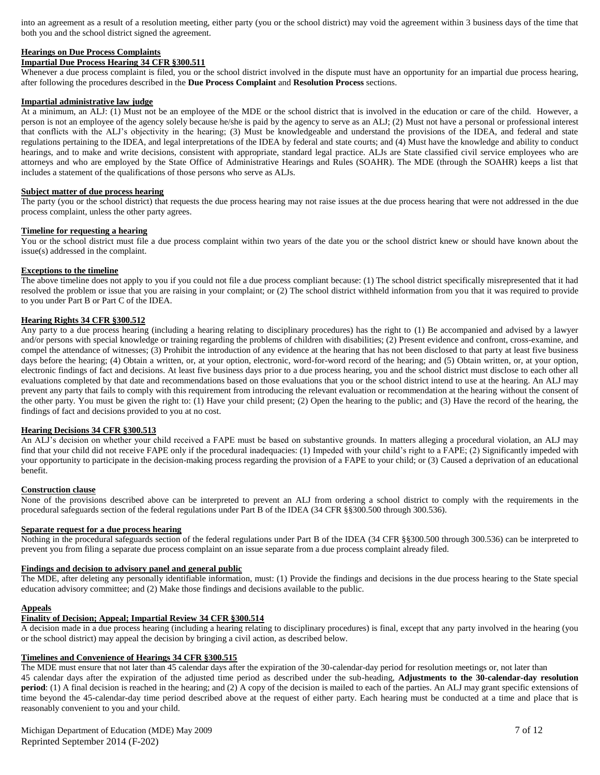into an agreement as a result of a resolution meeting, either party (you or the school district) may void the agreement within 3 business days of the time that both you and the school district signed the agreement.

## **Hearings on Due Process Complaints**

## **Impartial Due Process Hearing 34 CFR §300.511**

Whenever a due process complaint is filed, you or the school district involved in the dispute must have an opportunity for an impartial due process hearing, after following the procedures described in the **Due Process Complaint** and **Resolution Process** sections.

#### **Impartial administrative law judge**

At a minimum, an ALJ: (1) Must not be an employee of the MDE or the school district that is involved in the education or care of the child. However, a person is not an employee of the agency solely because he/she is paid by the agency to serve as an ALJ; (2) Must not have a personal or professional interest that conflicts with the ALJ's objectivity in the hearing; (3) Must be knowledgeable and understand the provisions of the IDEA, and federal and state regulations pertaining to the IDEA, and legal interpretations of the IDEA by federal and state courts; and (4) Must have the knowledge and ability to conduct hearings, and to make and write decisions, consistent with appropriate, standard legal practice. ALJs are State classified civil service employees who are attorneys and who are employed by the State Office of Administrative Hearings and Rules (SOAHR). The MDE (through the SOAHR) keeps a list that includes a statement of the qualifications of those persons who serve as ALJs.

## **Subject matter of due process hearing**

The party (you or the school district) that requests the due process hearing may not raise issues at the due process hearing that were not addressed in the due process complaint, unless the other party agrees.

### **Timeline for requesting a hearing**

You or the school district must file a due process complaint within two years of the date you or the school district knew or should have known about the issue(s) addressed in the complaint.

#### **Exceptions to the timeline**

The above timeline does not apply to you if you could not file a due process compliant because: (1) The school district specifically misrepresented that it had resolved the problem or issue that you are raising in your complaint; or (2) The school district withheld information from you that it was required to provide to you under Part B or Part C of the IDEA.

#### **Hearing Rights 34 CFR §300.512**

Any party to a due process hearing (including a hearing relating to disciplinary procedures) has the right to (1) Be accompanied and advised by a lawyer and/or persons with special knowledge or training regarding the problems of children with disabilities; (2) Present evidence and confront, cross-examine, and compel the attendance of witnesses; (3) Prohibit the introduction of any evidence at the hearing that has not been disclosed to that party at least five business days before the hearing; (4) Obtain a written, or, at your option, electronic, word-for-word record of the hearing; and (5) Obtain written, or, at your option, electronic findings of fact and decisions. At least five business days prior to a due process hearing, you and the school district must disclose to each other all evaluations completed by that date and recommendations based on those evaluations that you or the school district intend to use at the hearing. An ALJ may prevent any party that fails to comply with this requirement from introducing the relevant evaluation or recommendation at the hearing without the consent of the other party. You must be given the right to: (1) Have your child present; (2) Open the hearing to the public; and (3) Have the record of the hearing, the findings of fact and decisions provided to you at no cost.

#### **Hearing Decisions 34 CFR §300.513**

An ALJ's decision on whether your child received a FAPE must be based on substantive grounds. In matters alleging a procedural violation, an ALJ may find that your child did not receive FAPE only if the procedural inadequacies: (1) Impeded with your child's right to a FAPE; (2) Significantly impeded with your opportunity to participate in the decision-making process regarding the provision of a FAPE to your child; or (3) Caused a deprivation of an educational benefit.

#### **Construction clause**

None of the provisions described above can be interpreted to prevent an ALJ from ordering a school district to comply with the requirements in the procedural safeguards section of the federal regulations under Part B of the IDEA (34 CFR §§300.500 through 300.536).

#### **Separate request for a due process hearing**

Nothing in the procedural safeguards section of the federal regulations under Part B of the IDEA (34 CFR §§300.500 through 300.536) can be interpreted to prevent you from filing a separate due process complaint on an issue separate from a due process complaint already filed.

## **Findings and decision to advisory panel and general public**

The MDE, after deleting any personally identifiable information, must: (1) Provide the findings and decisions in the due process hearing to the State special education advisory committee; and (2) Make those findings and decisions available to the public.

#### **Appeals**

## **Finality of Decision; Appeal; Impartial Review 34 CFR §300.514**

A decision made in a due process hearing (including a hearing relating to disciplinary procedures) is final, except that any party involved in the hearing (you or the school district) may appeal the decision by bringing a civil action, as described below.

### **Timelines and Convenience of Hearings 34 CFR §300.515**

The MDE must ensure that not later than 45 calendar days after the expiration of the 30-calendar-day period for resolution meetings or, not later than 45 calendar days after the expiration of the adjusted time period as described under the sub-heading, **Adjustments to the 30-calendar-day resolution period**: (1) A final decision is reached in the hearing; and (2) A copy of the decision is mailed to each of the parties. An ALJ may grant specific extensions of time beyond the 45-calendar-day time period described above at the request of either party. Each hearing must be conducted at a time and place that is reasonably convenient to you and your child.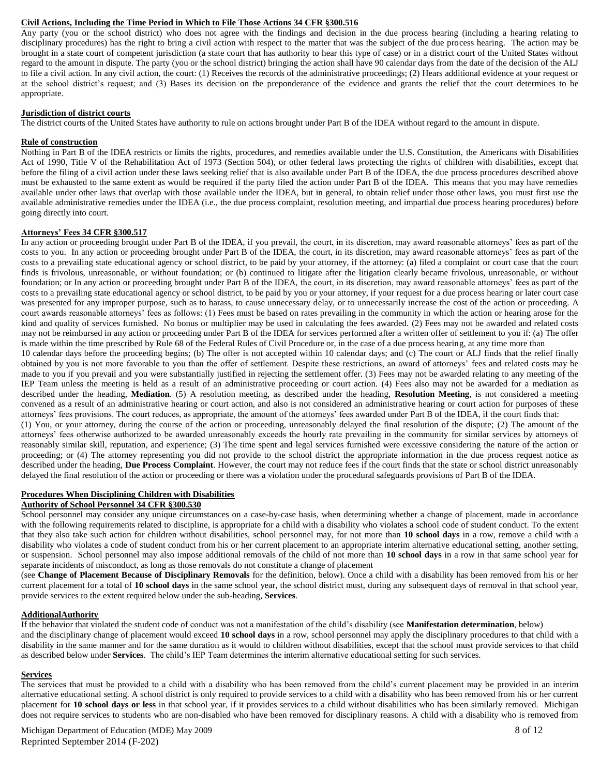### **Civil Actions, Including the Time Period in Which to File Those Actions 34 CFR §300.516**

Any party (you or the school district) who does not agree with the findings and decision in the due process hearing (including a hearing relating to disciplinary procedures) has the right to bring a civil action with respect to the matter that was the subject of the due process hearing. The action may be brought in a state court of competent jurisdiction (a state court that has authority to hear this type of case) or in a district court of the United States without regard to the amount in dispute. The party (you or the school district) bringing the action shall have 90 calendar days from the date of the decision of the ALJ to file a civil action. In any civil action, the court: (1) Receives the records of the administrative proceedings; (2) Hears additional evidence at your request or at the school district's request; and (3) Bases its decision on the preponderance of the evidence and grants the relief that the court determines to be appropriate.

## **Jurisdiction of district courts**

The district courts of the United States have authority to rule on actions brought under Part B of the IDEA without regard to the amount in dispute.

### **Rule of construction**

Nothing in Part B of the IDEA restricts or limits the rights, procedures, and remedies available under the U.S. Constitution, the Americans with Disabilities Act of 1990, Title V of the Rehabilitation Act of 1973 (Section 504), or other federal laws protecting the rights of children with disabilities, except that before the filing of a civil action under these laws seeking relief that is also available under Part B of the IDEA, the due process procedures described above must be exhausted to the same extent as would be required if the party filed the action under Part B of the IDEA. This means that you may have remedies available under other laws that overlap with those available under the IDEA, but in general, to obtain relief under those other laws, you must first use the available administrative remedies under the IDEA (i.e., the due process complaint, resolution meeting, and impartial due process hearing procedures) before going directly into court.

## **Attorneys' Fees 34 CFR §300.517**

In any action or proceeding brought under Part B of the IDEA, if you prevail, the court, in its discretion, may award reasonable attorneys' fees as part of the costs to you. In any action or proceeding brought under Part B of the IDEA, the court, in its discretion, may award reasonable attorneys' fees as part of the costs to a prevailing state educational agency or school district, to be paid by your attorney, if the attorney: (a) filed a complaint or court case that the court finds is frivolous, unreasonable, or without foundation; or (b) continued to litigate after the litigation clearly became frivolous, unreasonable, or without foundation; or In any action or proceeding brought under Part B of the IDEA, the court, in its discretion, may award reasonable attorneys' fees as part of the costs to a prevailing state educational agency or school district, to be paid by you or your attorney, if your request for a due process hearing or later court case was presented for any improper purpose, such as to harass, to cause unnecessary delay, or to unnecessarily increase the cost of the action or proceeding. A court awards reasonable attorneys' fees as follows: (1) Fees must be based on rates prevailing in the community in which the action or hearing arose for the kind and quality of services furnished. No bonus or multiplier may be used in calculating the fees awarded. (2) Fees may not be awarded and related costs may not be reimbursed in any action or proceeding under Part B of the IDEA for services performed after a written offer of settlement to you if: (a) The offer is made within the time prescribed by Rule 68 of the Federal Rules of Civil Procedure or, in the case of a due process hearing, at any time more than 10 calendar days before the proceeding begins; (b) The offer is not accepted within 10 calendar days; and (c) The court or ALJ finds that the relief finally obtained by you is not more favorable to you than the offer of settlement. Despite these restrictions, an award of attorneys' fees and related costs may be made to you if you prevail and you were substantially justified in rejecting the settlement offer. (3) Fees may not be awarded relating to any meeting of the IEP Team unless the meeting is held as a result of an administrative proceeding or court action. (4) Fees also may not be awarded for a mediation as described under the heading, **Mediation**. (5) A resolution meeting, as described under the heading, **Resolution Meeting**, is not considered a meeting convened as a result of an administrative hearing or court action, and also is not considered an administrative hearing or court action for purposes of these attorneys' fees provisions. The court reduces, as appropriate, the amount of the attorneys' fees awarded under Part B of the IDEA, if the court finds that: (1) You, or your attorney, during the course of the action or proceeding, unreasonably delayed the final resolution of the dispute; (2) The amount of the attorneys' fees otherwise authorized to be awarded unreasonably exceeds the hourly rate prevailing in the community for similar services by attorneys of reasonably similar skill, reputation, and experience; (3) The time spent and legal services furnished were excessive considering the nature of the action or proceeding; or (4) The attorney representing you did not provide to the school district the appropriate information in the due process request notice as

# **Procedures When Disciplining Children with Disabilities**

## **Authority of School Personnel 34 CFR §300.530**

School personnel may consider any unique circumstances on a case-by-case basis, when determining whether a change of placement, made in accordance with the following requirements related to discipline, is appropriate for a child with a disability who violates a school code of student conduct. To the extent that they also take such action for children without disabilities, school personnel may, for not more than **10 school days** in a row, remove a child with a disability who violates a code of student conduct from his or her current placement to an appropriate interim alternative educational setting, another setting, or suspension. School personnel may also impose additional removals of the child of not more than **10 school days** in a row in that same school year for separate incidents of misconduct, as long as those removals do not constitute a change of placement

described under the heading, **Due Process Complaint**. However, the court may not reduce fees if the court finds that the state or school district unreasonably

delayed the final resolution of the action or proceeding or there was a violation under the procedural safeguards provisions of Part B of the IDEA.

(see **Change of Placement Because of Disciplinary Removals** for the definition, below). Once a child with a disability has been removed from his or her current placement for a total of **10 school days** in the same school year, the school district must, during any subsequent days of removal in that school year, provide services to the extent required below under the sub-heading, **Services**.

#### **AdditionalAuthority**

If the behavior that violated the student code of conduct was not a manifestation of the child's disability (see **Manifestation determination**, below) and the disciplinary change of placement would exceed **10 school days** in a row, school personnel may apply the disciplinary procedures to that child with a disability in the same manner and for the same duration as it would to children without disabilities, except that the school must provide services to that child as described below under **Services**. The child's IEP Team determines the interim alternative educational setting for such services.

#### **Services**

The services that must be provided to a child with a disability who has been removed from the child's current placement may be provided in an interim alternative educational setting. A school district is only required to provide services to a child with a disability who has been removed from his or her current placement for **10 school days or less** in that school year, if it provides services to a child without disabilities who has been similarly removed. Michigan does not require services to students who are non-disabled who have been removed for disciplinary reasons. A child with a disability who is removed from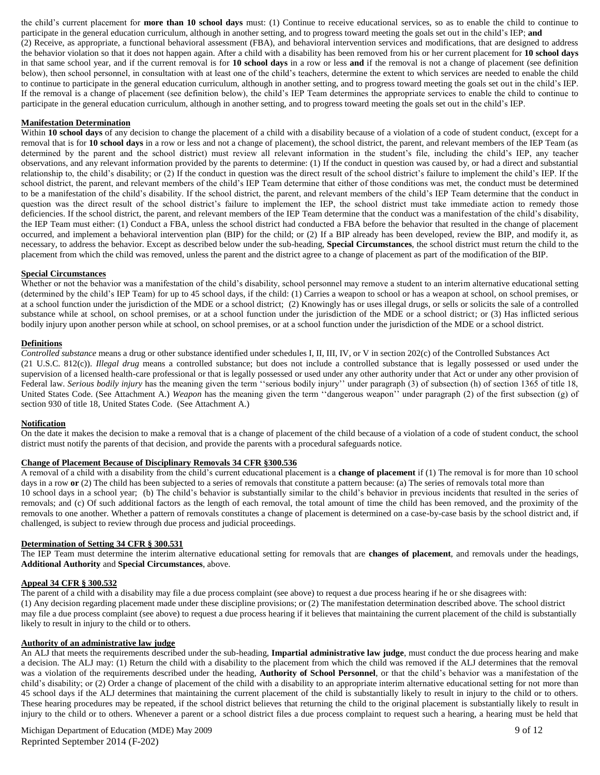the child's current placement for **more than 10 school days** must: (1) Continue to receive educational services, so as to enable the child to continue to participate in the general education curriculum, although in another setting, and to progress toward meeting the goals set out in the child's IEP; **and** (2) Receive, as appropriate, a functional behavioral assessment (FBA), and behavioral intervention services and modifications, that are designed to address the behavior violation so that it does not happen again. After a child with a disability has been removed from his or her current placement for **10 school days** in that same school year, and if the current removal is for **10 school days** in a row or less **and** if the removal is not a change of placement (see definition below), then school personnel, in consultation with at least one of the child's teachers, determine the extent to which services are needed to enable the child to continue to participate in the general education curriculum, although in another setting, and to progress toward meeting the goals set out in the child's IEP. If the removal is a change of placement (see definition below), the child's IEP Team determines the appropriate services to enable the child to continue to participate in the general education curriculum, although in another setting, and to progress toward meeting the goals set out in the child's IEP.

## **Manifestation Determination**

Within 10 school days of any decision to change the placement of a child with a disability because of a violation of a code of student conduct, (except for a removal that is for **10 school days** in a row or less and not a change of placement), the school district, the parent, and relevant members of the IEP Team (as determined by the parent and the school district) must review all relevant information in the student's file, including the child's IEP, any teacher observations, and any relevant information provided by the parents to determine: (1) If the conduct in question was caused by, or had a direct and substantial relationship to, the child's disability; or (2) If the conduct in question was the direct result of the school district's failure to implement the child's IEP. If the school district, the parent, and relevant members of the child's IEP Team determine that either of those conditions was met, the conduct must be determined to be a manifestation of the child's disability. If the school district, the parent, and relevant members of the child's IEP Team determine that the conduct in question was the direct result of the school district's failure to implement the IEP, the school district must take immediate action to remedy those deficiencies. If the school district, the parent, and relevant members of the IEP Team determine that the conduct was a manifestation of the child's disability, the IEP Team must either: (1) Conduct a FBA, unless the school district had conducted a FBA before the behavior that resulted in the change of placement occurred, and implement a behavioral intervention plan (BIP) for the child; or (2) If a BIP already has been developed, review the BIP, and modify it, as necessary, to address the behavior. Except as described below under the sub-heading, **Special Circumstances**, the school district must return the child to the placement from which the child was removed, unless the parent and the district agree to a change of placement as part of the modification of the BIP.

#### **Special Circumstances**

Whether or not the behavior was a manifestation of the child's disability, school personnel may remove a student to an interim alternative educational setting (determined by the child's IEP Team) for up to 45 school days, if the child: (1) Carries a weapon to school or has a weapon at school, on school premises, or at a school function under the jurisdiction of the MDE or a school district; (2) Knowingly has or uses illegal drugs, or sells or solicits the sale of a controlled substance while at school, on school premises, or at a school function under the jurisdiction of the MDE or a school district; or (3) Has inflicted serious bodily injury upon another person while at school, on school premises, or at a school function under the jurisdiction of the MDE or a school district.

### **Definitions**

*Controlled substance* means a drug or other substance identified under schedules I, II, III, IV, or V in section 202(c) of the Controlled Substances Act (21 U.S.C. 812(c)). *Illegal drug* means a controlled substance; but does not include a controlled substance that is legally possessed or used under the supervision of a licensed health-care professional or that is legally possessed or used under any other authority under that Act or under any other provision of Federal law. *Serious bodily injury* has the meaning given the term "serious bodily injury" under paragraph (3) of subsection (h) of section 1365 of title 18, United States Code. (See Attachment A.) *Weapon* has the meaning given the term ''dangerous weapon'' under paragraph (2) of the first subsection (g) of section 930 of title 18, United States Code. (See Attachment A.)

## **Notification**

On the date it makes the decision to make a removal that is a change of placement of the child because of a violation of a code of student conduct, the school district must notify the parents of that decision, and provide the parents with a procedural safeguards notice.

## **Change of Placement Because of Disciplinary Removals 34 CFR §300.536**

A removal of a child with a disability from the child's current educational placement is a **change of placement** if (1) The removal is for more than 10 school days in a row **or** (2) The child has been subjected to a series of removals that constitute a pattern because: (a) The series of removals total more than 10 school days in a school year; (b) The child's behavior is substantially similar to the child's behavior in previous incidents that resulted in the series of removals; and (c) Of such additional factors as the length of each removal, the total amount of time the child has been removed, and the proximity of the removals to one another. Whether a pattern of removals constitutes a change of placement is determined on a case-by-case basis by the school district and, if challenged, is subject to review through due process and judicial proceedings.

#### **Determination of Setting 34 CFR § 300.531**

The IEP Team must determine the interim alternative educational setting for removals that are **changes of placement**, and removals under the headings, **Additional Authority** and **Special Circumstances**, above.

### **Appeal 34 CFR § 300.532**

The parent of a child with a disability may file a due process complaint (see above) to request a due process hearing if he or she disagrees with: (1) Any decision regarding placement made under these discipline provisions; or (2) The manifestation determination described above. The school district may file a due process complaint (see above) to request a due process hearing if it believes that maintaining the current placement of the child is substantially likely to result in injury to the child or to others.

## **Authority of an administrative law judge**

An ALJ that meets the requirements described under the sub-heading, **Impartial administrative law judge**, must conduct the due process hearing and make a decision. The ALJ may: (1) Return the child with a disability to the placement from which the child was removed if the ALJ determines that the removal was a violation of the requirements described under the heading, **Authority of School Personnel**, or that the child's behavior was a manifestation of the child's disability; or (2) Order a change of placement of the child with a disability to an appropriate interim alternative educational setting for not more than 45 school days if the ALJ determines that maintaining the current placement of the child is substantially likely to result in injury to the child or to others. These hearing procedures may be repeated, if the school district believes that returning the child to the original placement is substantially likely to result in injury to the child or to others. Whenever a parent or a school district files a due process complaint to request such a hearing, a hearing must be held that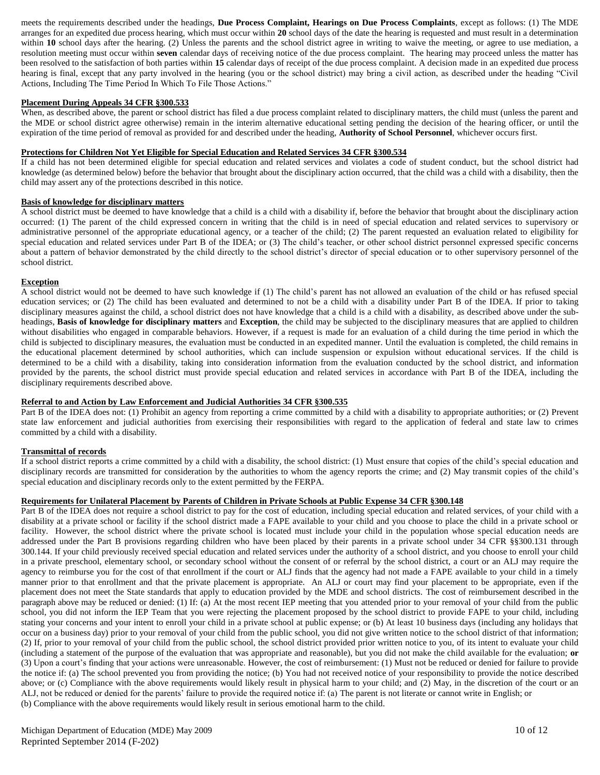meets the requirements described under the headings, **Due Process Complaint, Hearings on Due Process Complaints**, except as follows: (1) The MDE arranges for an expedited due process hearing, which must occur within **20** school days of the date the hearing is requested and must result in a determination within 10 school days after the hearing. (2) Unless the parents and the school district agree in writing to waive the meeting, or agree to use mediation, a resolution meeting must occur within **seven** calendar days of receiving notice of the due process complaint. The hearing may proceed unless the matter has been resolved to the satisfaction of both parties within **15** calendar days of receipt of the due process complaint. A decision made in an expedited due process hearing is final, except that any party involved in the hearing (you or the school district) may bring a civil action, as described under the heading "Civil Actions, Including The Time Period In Which To File Those Actions."

## **Placement During Appeals 34 CFR §300.533**

When, as described above, the parent or school district has filed a due process complaint related to disciplinary matters, the child must (unless the parent and the MDE or school district agree otherwise) remain in the interim alternative educational setting pending the decision of the hearing officer, or until the expiration of the time period of removal as provided for and described under the heading, **Authority of School Personnel**, whichever occurs first.

## **Protections for Children Not Yet Eligible for Special Education and Related Services 34 CFR §300.534**

If a child has not been determined eligible for special education and related services and violates a code of student conduct, but the school district had knowledge (as determined below) before the behavior that brought about the disciplinary action occurred, that the child was a child with a disability, then the child may assert any of the protections described in this notice.

### **Basis of knowledge for disciplinary matters**

A school district must be deemed to have knowledge that a child is a child with a disability if, before the behavior that brought about the disciplinary action occurred: (1) The parent of the child expressed concern in writing that the child is in need of special education and related services to supervisory or administrative personnel of the appropriate educational agency, or a teacher of the child; (2) The parent requested an evaluation related to eligibility for special education and related services under Part B of the IDEA; or (3) The child's teacher, or other school district personnel expressed specific concerns about a pattern of behavior demonstrated by the child directly to the school district's director of special education or to other supervisory personnel of the school district.

### **Exception**

A school district would not be deemed to have such knowledge if (1) The child's parent has not allowed an evaluation of the child or has refused special education services; or (2) The child has been evaluated and determined to not be a child with a disability under Part B of the IDEA. If prior to taking disciplinary measures against the child, a school district does not have knowledge that a child is a child with a disability, as described above under the subheadings, **Basis of knowledge for disciplinary matters** and **Exception**, the child may be subjected to the disciplinary measures that are applied to children without disabilities who engaged in comparable behaviors. However, if a request is made for an evaluation of a child during the time period in which the child is subjected to disciplinary measures, the evaluation must be conducted in an expedited manner. Until the evaluation is completed, the child remains in the educational placement determined by school authorities, which can include suspension or expulsion without educational services. If the child is determined to be a child with a disability, taking into consideration information from the evaluation conducted by the school district, and information provided by the parents, the school district must provide special education and related services in accordance with Part B of the IDEA, including the disciplinary requirements described above.

## **Referral to and Action by Law Enforcement and Judicial Authorities 34 CFR §300.535**

Part B of the IDEA does not: (1) Prohibit an agency from reporting a crime committed by a child with a disability to appropriate authorities; or (2) Prevent state law enforcement and judicial authorities from exercising their responsibilities with regard to the application of federal and state law to crimes committed by a child with a disability.

## **Transmittal of records**

If a school district reports a crime committed by a child with a disability, the school district: (1) Must ensure that copies of the child's special education and disciplinary records are transmitted for consideration by the authorities to whom the agency reports the crime; and (2) May transmit copies of the child's special education and disciplinary records only to the extent permitted by the FERPA.

## **Requirements for Unilateral Placement by Parents of Children in Private Schools at Public Expense 34 CFR §300.148**

Part B of the IDEA does not require a school district to pay for the cost of education, including special education and related services, of your child with a disability at a private school or facility if the school district made a FAPE available to your child and you choose to place the child in a private school or facility. However, the school district where the private school is located must include your child in the population whose special education needs are addressed under the Part B provisions regarding children who have been placed by their parents in a private school under 34 CFR §§300.131 through 300.144. If your child previously received special education and related services under the authority of a school district, and you choose to enroll your child in a private preschool, elementary school, or secondary school without the consent of or referral by the school district, a court or an ALJ may require the agency to reimburse you for the cost of that enrollment if the court or ALJ finds that the agency had not made a FAPE available to your child in a timely manner prior to that enrollment and that the private placement is appropriate. An ALJ or court may find your placement to be appropriate, even if the placement does not meet the State standards that apply to education provided by the MDE and school districts. The cost of reimbursement described in the paragraph above may be reduced or denied: (1) If: (a) At the most recent IEP meeting that you attended prior to your removal of your child from the public school, you did not inform the IEP Team that you were rejecting the placement proposed by the school district to provide FAPE to your child, including stating your concerns and your intent to enroll your child in a private school at public expense; or (b) At least 10 business days (including any holidays that occur on a business day) prior to your removal of your child from the public school, you did not give written notice to the school district of that information; (2) If, prior to your removal of your child from the public school, the school district provided prior written notice to you, of its intent to evaluate your child (including a statement of the purpose of the evaluation that was appropriate and reasonable), but you did not make the child available for the evaluation; **or** (3) Upon a court's finding that your actions were unreasonable. However, the cost of reimbursement: (1) Must not be reduced or denied for failure to provide the notice if: (a) The school prevented you from providing the notice; (b) You had not received notice of your responsibility to provide the notice described above; or (c) Compliance with the above requirements would likely result in physical harm to your child; and (2) May, in the discretion of the court or an ALJ, not be reduced or denied for the parents' failure to provide the required notice if: (a) The parent is not literate or cannot write in English; or (b) Compliance with the above requirements would likely result in serious emotional harm to the child.